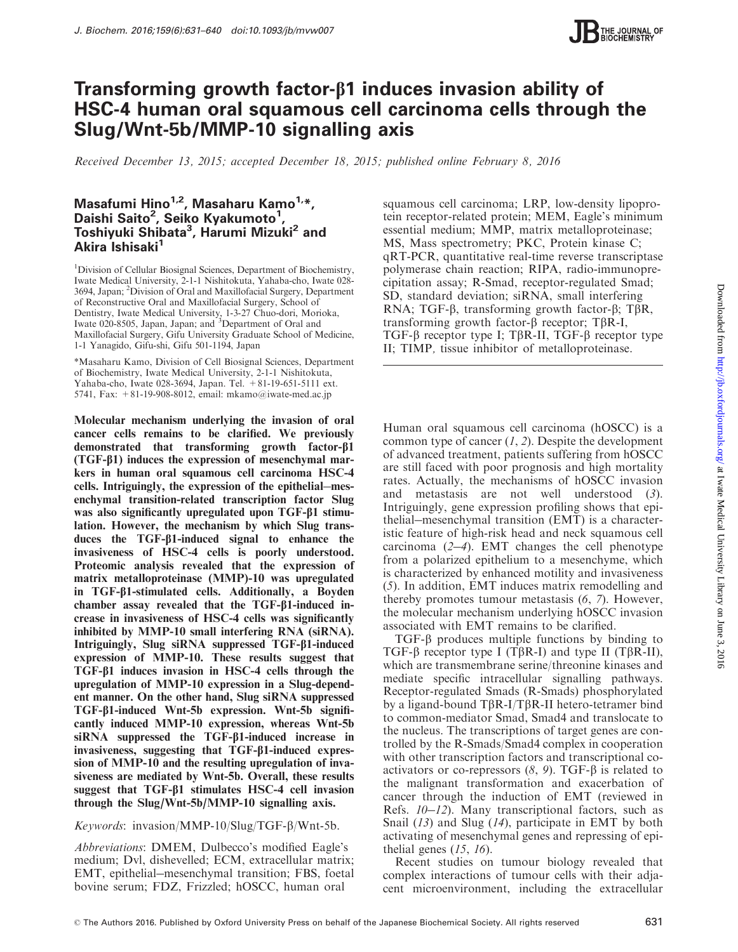

# Transforming growth factor- $\beta$ 1 induces invasion ability of HSC-4 human oral squamous cell carcinoma cells through the Slug/Wnt-5b/MMP-10 signalling axis

Received December 13, 2015; accepted December 18, 2015; published online February 8, 2016

## Masafumi Hino<sup>1,2</sup>, Masaharu Kamo<sup>1,\*</sup>, Daishi Saito<sup>2</sup>, Seiko Kyakumoto<sup>1</sup>, Toshiyuki Shibata<sup>3</sup>, Harumi Mizuki<sup>2</sup> and Akira Ishisaki<sup>1</sup>

<sup>1</sup>Division of Cellular Biosignal Sciences, Department of Biochemistry, Iwate Medical University, 2-1-1 Nishitokuta, Yahaba-cho, Iwate 028- 3694, Japan; <sup>2</sup>Division of Oral and Maxillofacial Surgery, Department of Reconstructive Oral and Maxillofacial Surgery, School of Dentistry, Iwate Medical University, 1-3-27 Chuo-dori, Morioka, Iwate 020-8505, Japan, Japan; and <sup>3</sup>Department of Oral and Maxillofacial Surgery, Gifu University Graduate School of Medicine, 1-1 Yanagido, Gifu-shi, Gifu 501-1194, Japan

\*Masaharu Kamo, Division of Cell Biosignal Sciences, Department of Biochemistry, Iwate Medical University, 2-1-1 Nishitokuta, Yahaba-cho, Iwate 028-3694, Japan. Tel. +81-19-651-5111 ext. 5741, Fax: +81-19-908-8012, email: mkamo@iwate-med.ac.jp

Molecular mechanism underlying the invasion of oral cancer cells remains to be clarified. We previously demonstrated that transforming growth factor- $\beta$ 1  $(TGF- $\beta$ 1) induces the expression of mesenchymal mar$ kers in human oral squamous cell carcinoma HSC-4 cells. Intriguingly, the expression of the epithelial-mesenchymal transition-related transcription factor Slug was also significantly upregulated upon TGF-β1 stimulation. However, the mechanism by which Slug transduces the TGF- $\beta$ 1-induced signal to enhance the invasiveness of HSC-4 cells is poorly understood. Proteomic analysis revealed that the expression of matrix metalloproteinase (MMP)-10 was upregulated in TGF-b1-stimulated cells. Additionally, a Boyden chamber assay revealed that the TGF- $\beta$ 1-induced increase in invasiveness of HSC-4 cells was significantly inhibited by MMP-10 small interfering RNA (siRNA). Intriguingly, Slug siRNA suppressed TGF- $\beta$ 1-induced expression of MMP-10. These results suggest that TGF-b1 induces invasion in HSC-4 cells through the upregulation of MMP-10 expression in a Slug-dependent manner. On the other hand, Slug siRNA suppressed TGF-b1-induced Wnt-5b expression. Wnt-5b significantly induced MMP-10 expression, whereas Wnt-5b  $siRNA$  suppressed the TGF- $\beta$ 1-induced increase in invasiveness, suggesting that  $TGF- $\beta$ 1-induced expres$ sion of MMP-10 and the resulting upregulation of invasiveness are mediated by Wnt-5b. Overall, these results suggest that TGF-b1 stimulates HSC-4 cell invasion through the Slug/Wnt-5b/MMP-10 signalling axis.

### Keywords: invasion/MMP-10/Slug/TGF- $\beta$ /Wnt-5b.

Abbreviations: DMEM, Dulbecco's modified Eagle's medium; Dvl, dishevelled; ECM, extracellular matrix; EMT, epithelial-mesenchymal transition; FBS, foetal bovine serum; FDZ, Frizzled; hOSCC, human oral

squamous cell carcinoma; LRP, low-density lipoprotein receptor-related protein; MEM, Eagle's minimum essential medium; MMP, matrix metalloproteinase; MS, Mass spectrometry; PKC, Protein kinase C; qRT-PCR, quantitative real-time reverse transcriptase polymerase chain reaction; RIPA, radio-immunoprecipitation assay; R-Smad, receptor-regulated Smad; SD, standard deviation; siRNA, small interfering RNA; TGF- $\beta$ , transforming growth factor- $\beta$ ; T $\beta$ R, transforming growth factor- $\beta$  receptor; T $\beta$ R-I, TGF- $\beta$  receptor type I; T $\beta$ R-II, TGF- $\beta$  receptor type II; TIMP, tissue inhibitor of metalloproteinase.

Human oral squamous cell carcinoma (hOSCC) is a common type of cancer  $(1, 2)$  $(1, 2)$  $(1, 2)$  $(1, 2)$  $(1, 2)$ . Despite the development of advanced treatment, patients suffering from hOSCC are still faced with poor prognosis and high mortality rates. Actually, the mechanisms of hOSCC invasion and metastasis are not well understood ([3](#page-7-0)). Intriguingly, gene expression profiling shows that epithelial-mesenchymal transition (EMT) is a characteristic feature of high-risk head and neck squamous cell carcinoma  $(2-4)$  $(2-4)$  $(2-4)$  $(2-4)$  $(2-4)$ . EMT changes the cell phenotype from a polarized epithelium to a mesenchyme, which is characterized by enhanced motility and invasiveness ([5](#page-8-0)). In addition, EMT induces matrix remodelling and thereby promotes tumour metastasis ([6](#page-8-0), [7](#page-8-0)). However, the molecular mechanism underlying hOSCC invasion associated with EMT remains to be clarified.

 $TGF-\beta$  produces multiple functions by binding to TGF- $\beta$  receptor type I (T $\beta$ R-I) and type II (T $\beta$ R-II), which are transmembrane serine/threonine kinases and mediate specific intracellular signalling pathways. Receptor-regulated Smads (R-Smads) phosphorylated by a ligand-bound  $T\beta R-I/T\beta R-II$  hetero-tetramer bind to common-mediator Smad, Smad4 and translocate to the nucleus. The transcriptions of target genes are controlled by the R-Smads/Smad4 complex in cooperation with other transcription factors and transcriptional coactivators or co-repressors  $(8, 9)$  $(8, 9)$  $(8, 9)$  $(8, 9)$  $(8, 9)$ . TGF- $\beta$  is related to the malignant transformation and exacerbation of cancer through the induction of EMT (reviewed in Refs.  $10-12$  $10-12$  $10-12$ ). Many transcriptional factors, such as Snail ([13](#page-8-0)) and Slug ([14](#page-8-0)), participate in EMT by both activating of mesenchymal genes and repressing of epithelial genes  $(15, 16)$  $(15, 16)$  $(15, 16)$  $(15, 16)$  $(15, 16)$ .

Recent studies on tumour biology revealed that complex interactions of tumour cells with their adjacent microenvironment, including the extracellular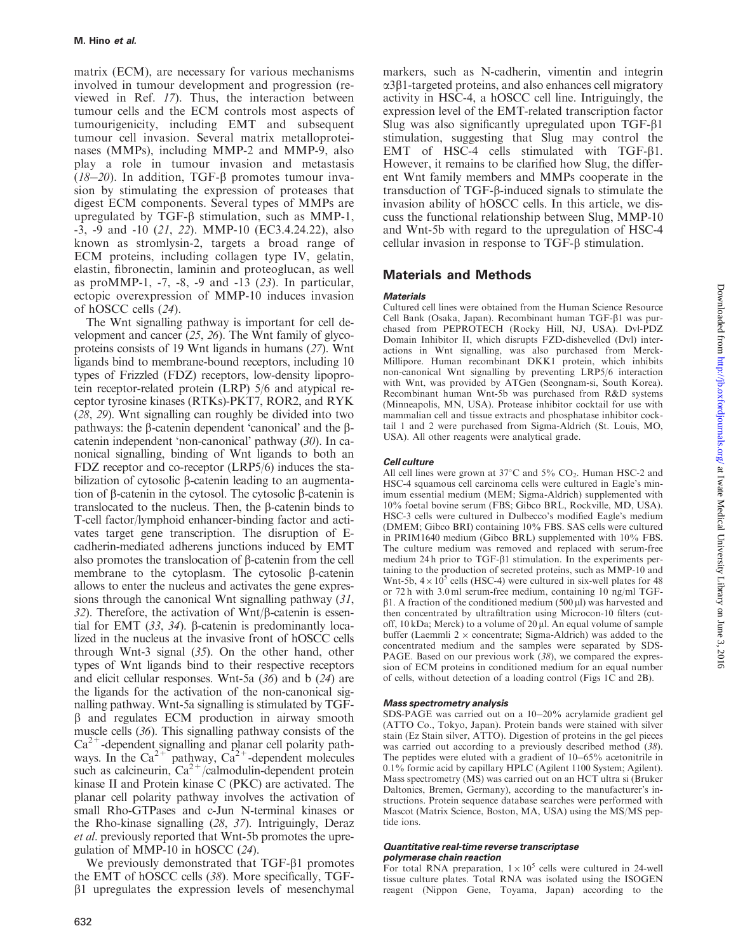matrix (ECM), are necessary for various mechanisms involved in tumour development and progression (reviewed in Ref. [17](#page-8-0)). Thus, the interaction between tumour cells and the ECM controls most aspects of tumourigenicity, including EMT and subsequent tumour cell invasion. Several matrix metalloproteinases (MMPs), including MMP-2 and MMP-9, also play a role in tumour invasion and metastasis ( $18-20$  $18-20$  $18-20$ ). In addition, TGF- $\beta$  promotes tumour invasion by stimulating the expression of proteases that digest ECM components. Several types of MMPs are upregulated by TGF- $\beta$  stimulation, such as MMP-1, -3, -9 and -10 ([21](#page-8-0), [22](#page-8-0)). MMP-10 (EC3.4.24.22), also known as stromlysin-2, targets a broad range of ECM proteins, including collagen type IV, gelatin, elastin, fibronectin, laminin and proteoglucan, as well as proMMP-1, -7, -8, -9 and -13 ([23](#page-8-0)). In particular, ectopic overexpression of MMP-10 induces invasion of hOSCC cells ([24](#page-8-0)).

The Wnt signalling pathway is important for cell development and cancer ([25](#page-8-0), [26](#page-8-0)). The Wnt family of glycoproteins consists of 19 Wnt ligands in humans ([27](#page-8-0)). Wnt ligands bind to membrane-bound receptors, including 10 types of Frizzled (FDZ) receptors, low-density lipoprotein receptor-related protein (LRP) 5/6 and atypical receptor tyrosine kinases (RTKs)-PKT7, ROR2, and RYK ([28](#page-8-0), [29](#page-8-0)). Wnt signalling can roughly be divided into two pathways: the  $\beta$ -catenin dependent 'canonical' and the  $\beta$ catenin independent 'non-canonical' pathway ([30](#page-8-0)). In canonical signalling, binding of Wnt ligands to both an FDZ receptor and co-receptor (LRP5/6) induces the stabilization of cytosolic β-catenin leading to an augmentation of  $\beta$ -catenin in the cytosol. The cytosolic  $\beta$ -catenin is translocated to the nucleus. Then, the b-catenin binds to T-cell factor/lymphoid enhancer-binding factor and activates target gene transcription. The disruption of Ecadherin-mediated adherens junctions induced by EMT also promotes the translocation of  $\beta$ -catenin from the cell membrane to the cytoplasm. The cytosolic  $\beta$ -catenin allows to enter the nucleus and activates the gene expres-sions through the canonical Wnt signalling pathway ([31](#page-8-0),  $32$ ). Therefore, the activation of Wnt/ $\beta$ -catenin is essential for EMT  $(33, 34)$  $(33, 34)$  $(33, 34)$  $(33, 34)$  $(33, 34)$ .  $\beta$ -catenin is predominantly localized in the nucleus at the invasive front of hOSCC cells through Wnt-3 signal ([35](#page-8-0)). On the other hand, other types of Wnt ligands bind to their respective receptors and elicit cellular responses. Wnt-5a ([36](#page-8-0)) and b ([24](#page-8-0)) are the ligands for the activation of the non-canonical signalling pathway. Wnt-5a signalling is stimulated by TGF- $\beta$  and regulates ECM production in airway smooth muscle cells ([36](#page-8-0)). This signalling pathway consists of the  $Ca<sup>2+</sup>$ -dependent signalling and planar cell polarity pathways. In the  $Ca^{2+}$  pathway,  $Ca^{2+}$ -dependent molecules such as calcineurin,  $Ca^{2+}/cal$ calmodulin-dependent protein kinase II and Protein kinase C (PKC) are activated. The planar cell polarity pathway involves the activation of small Rho-GTPases and c-Jun N-terminal kinases or the Rho-kinase signalling ([28](#page-8-0), [37](#page-9-0)). Intriguingly, Deraz et al. previously reported that Wnt-5b promotes the upregulation of MMP-10 in hOSCC ([24](#page-8-0)).

We previously demonstrated that  $TGF- $\beta$ 1 promotes$ the EMT of hOSCC cells ([38](#page-9-0)). More specifically, TGF- $\beta$ 1 upregulates the expression levels of mesenchymal

markers, such as N-cadherin, vimentin and integrin  $\alpha$ 3 $\beta$ 1-targeted proteins, and also enhances cell migratory activity in HSC-4, a hOSCC cell line. Intriguingly, the expression level of the EMT-related transcription factor Slug was also significantly upregulated upon TGF- $\beta$ 1 stimulation, suggesting that Slug may control the EMT of HSC-4 cells stimulated with TGF- $\beta$ 1. However, it remains to be clarified how Slug, the different Wnt family members and MMPs cooperate in the transduction of TGF-b-induced signals to stimulate the invasion ability of hOSCC cells. In this article, we discuss the functional relationship between Slug, MMP-10 and Wnt-5b with regard to the upregulation of HSC-4 cellular invasion in response to  $TGF- $\beta$  stimulation.$ 

## Materials and Methods

### **Materials**

Cultured cell lines were obtained from the Human Science Resource Cell Bank (Osaka, Japan). Recombinant human TGF-b1 was purchased from PEPROTECH (Rocky Hill, NJ, USA). Dvl-PDZ Domain Inhibitor II, which disrupts FZD-dishevelled (Dvl) interactions in Wnt signalling, was also purchased from Merck-Millipore. Human recombinant DKK1 protein, which inhibits non-canonical Wnt signalling by preventing LRP5/6 interaction with Wnt, was provided by ATGen (Seongnam-si, South Korea). Recombinant human Wnt-5b was purchased from R&D systems (Minneapolis, MN, USA). Protease inhibitor cocktail for use with mammalian cell and tissue extracts and phosphatase inhibitor cocktail 1 and 2 were purchased from Sigma-Aldrich (St. Louis, MO, USA). All other reagents were analytical grade.

### Cell culture

All cell lines were grown at  $37^{\circ}$ C and  $5\%$  CO<sub>2</sub>. Human HSC-2 and HSC-4 squamous cell carcinoma cells were cultured in Eagle's minimum essential medium (MEM; Sigma-Aldrich) supplemented with 10% foetal bovine serum (FBS; Gibco BRL, Rockville, MD, USA). HSC-3 cells were cultured in Dulbecco's modified Eagle's medium (DMEM; Gibco BRI) containing 10% FBS. SAS cells were cultured in PRIM1640 medium (Gibco BRL) supplemented with 10% FBS. The culture medium was removed and replaced with serum-free medium 24 h prior to TGF- $\beta$ 1 stimulation. In the experiments pertaining to the production of secreted proteins, such as MMP-10 and Wnt-5b,  $4 \times 10^5$  cells (HSC-4) were cultured in six-well plates for 48 or 72 h with 3.0 ml serum-free medium, containing 10 ng/ml TGF- $\beta$ 1. A fraction of the conditioned medium (500  $\mu$ l) was harvested and then concentrated by ultrafiltration using Microcon-10 filters (cutoff,  $10 \text{ kDa}$ ; Merck) to a volume of  $20 \mu$ l. An equal volume of sample buffer (Laemmli  $2 \times$  concentrate; Sigma-Aldrich) was added to the concentrated medium and the samples were separated by SDS-PAGE. Based on our previous work  $(38)$  $(38)$  $(38)$ , we compared the expression of ECM proteins in conditioned medium for an equal number of cells, without detection of a loading control [\(Figs 1](#page-3-0)C and [2](#page-3-0)B).

### Mass spectrometry analysis

SDS-PAGE was carried out on a 10-20% acrylamide gradient gel (ATTO Co., Tokyo, Japan). Protein bands were stained with silver stain (Ez Stain silver, ATTO). Digestion of proteins in the gel pieces was carried out according to a previously described method ([38](#page-9-0)). The peptides were eluted with a gradient of 10-65% acetonitrile in 0.1% formic acid by capillary HPLC (Agilent 1100 System; Agilent). Mass spectrometry (MS) was carried out on an HCT ultra si (Bruker Daltonics, Bremen, Germany), according to the manufacturer's instructions. Protein sequence database searches were performed with Mascot (Matrix Science, Boston, MA, USA) using the MS/MS peptide ions.

### Quantitative real-time reverse transcriptase polymerase chain reaction

For total RNA preparation,  $1 \times 10^5$  cells were cultured in 24-well tissue culture plates. Total RNA was isolated using the ISOGEN reagent (Nippon Gene, Toyama, Japan) according to the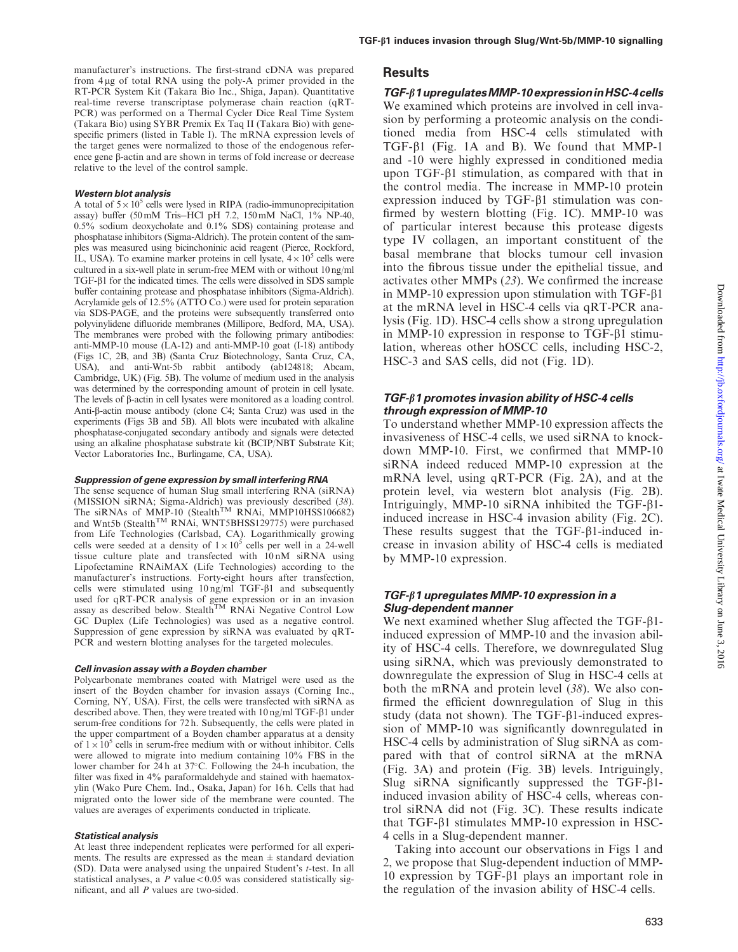manufacturer's instructions. The first-strand cDNA was prepared from  $4\mu$ g of total RNA using the poly-A primer provided in the RT-PCR System Kit (Takara Bio Inc., Shiga, Japan). Quantitative real-time reverse transcriptase polymerase chain reaction (qRT-PCR) was performed on a Thermal Cycler Dice Real Time System (Takara Bio) using SYBR Premix Ex Taq II (Takara Bio) with genespecific primers (listed in [Table I\)](#page-4-0). The mRNA expression levels of the target genes were normalized to those of the endogenous reference gene b-actin and are shown in terms of fold increase or decrease relative to the level of the control sample.

#### Western blot analysis

A total of  $5 \times 10^5$  cells were lysed in RIPA (radio-immunoprecipitation assay) buffer (50 mM Tris-HCl pH 7.2, 150 mM NaCl, 1% NP-40,  $0.5\%$  sodium deoxycholate and  $0.1\%$  SDS) containing protease and phosphatase inhibitors (Sigma-Aldrich). The protein content of the samples was measured using bicinchoninic acid reagent (Pierce, Rockford, IL, USA). To examine marker proteins in cell lysate,  $4 \times 10^5$  cells were cultured in a six-well plate in serum-free MEM with or without 10 ng/ml TGF-b1 for the indicated times. The cells were dissolved in SDS sample buffer containing protease and phosphatase inhibitors (Sigma-Aldrich). Acrylamide gels of 12.5% (ATTO  $\dot{Co}$ ) were used for protein separation via SDS-PAGE, and the proteins were subsequently transferred onto polyvinylidene difluoride membranes (Millipore, Bedford, MA, USA). The membranes were probed with the following primary antibodies: anti-MMP-10 mouse (LA-12) and anti-MMP-10 goat (I-18) antibody [\(Figs 1](#page-3-0)C, [2B](#page-3-0), and [3B](#page-4-0)) (Santa Cruz Biotechnology, Santa Cruz, CA, USA), and anti-Wnt-5b rabbit antibody (ab124818; Abcam, Cambridge, UK) ([Fig. 5B](#page-6-0)). The volume of medium used in the analysis was determined by the corresponding amount of protein in cell lysate. The levels of  $\beta$ -actin in cell lysates were monitored as a loading control. Anti-b-actin mouse antibody (clone C4; Santa Cruz) was used in the experiments ([Figs 3](#page-4-0)B and [5B](#page-6-0)). All blots were incubated with alkaline phosphatase-conjugated secondary antibody and signals were detected using an alkaline phosphatase substrate kit (BCIP/NBT Substrate Kit; Vector Laboratories Inc., Burlingame, CA, USA).

### Suppression of gene expression by small interfering RNA

The sense sequence of human Slug small interfering RNA (siRNA) (MISSION siRNA; Sigma-Aldrich) was previously described ([38](#page-9-0)).<br>The siRNAs of MMP-10 (Stealth<sup>TM</sup> RNAi, MMP10HSS106682) and Wnt5b (Stealth<sup>TM</sup> RNAi, WNT5BHSS129775) were purchased from Life Technologies (Carlsbad, CA). Logarithmically growing cells were seeded at a density of  $1 \times 10^5$  cells per well in a 24-well tissue culture plate and transfected with 10 nM siRNA using Lipofectamine RNAiMAX (Life Technologies) according to the manufacturer's instructions. Forty-eight hours after transfection, cells were stimulated using  $10 \text{ ng/ml}$  TGF- $\beta$ 1 and subsequently used for qRT-PCR analysis of gene expression or in an invasion assay as described below. Stealth<sup>TM</sup> RNAi Negative Control Low GC Duplex (Life Technologies) was used as a negative control. Suppression of gene expression by siRNA was evaluated by qRT-PCR and western blotting analyses for the targeted molecules.

### Cell invasion assay with a Boyden chamber

Polycarbonate membranes coated with Matrigel were used as the insert of the Boyden chamber for invasion assays (Corning Inc., Corning, NY, USA). First, the cells were transfected with siRNA as described above. Then, they were treated with  $10 \text{ ng/ml TGF-}\beta1$  under serum-free conditions for 72 h. Subsequently, the cells were plated in the upper compartment of a Boyden chamber apparatus at a density of  $1 \times 10^5$  cells in serum-free medium with or without inhibitor. Cells were allowed to migrate into medium containing 10% FBS in the lower chamber for 24 h at 37°C. Following the 24-h incubation, the filter was fixed in 4% paraformaldehyde and stained with haematoxylin (Wako Pure Chem. Ind., Osaka, Japan) for 16 h. Cells that had migrated onto the lower side of the membrane were counted. The values are averages of experiments conducted in triplicate.

### Statistical analysis

At least three independent replicates were performed for all experiments. The results are expressed as the mean  $\pm$  standard deviation (SD). Data were analysed using the unpaired Student's t-test. In all statistical analyses, a  $\ddot{P}$  value < 0.05 was considered statistically significant, and all P values are two-sided.

### **Results**

## $TGF- $\beta$ 1 upregulates MMP-10 expression in HSC-4 cells$

We examined which proteins are involved in cell invasion by performing a proteomic analysis on the conditioned media from HSC-4 cells stimulated with TGF-b1 [\(Fig. 1A](#page-3-0) and B). We found that MMP-1 and -10 were highly expressed in conditioned media upon  $TGF- $\beta$ 1 stimulation, as compared with that in$ the control media. The increase in MMP-10 protein expression induced by TGF- $\beta$ 1 stimulation was confirmed by western blotting [\(Fig. 1](#page-3-0)C). MMP-10 was of particular interest because this protease digests type IV collagen, an important constituent of the basal membrane that blocks tumour cell invasion into the fibrous tissue under the epithelial tissue, and activates other MMPs ([23](#page-8-0)). We confirmed the increase in MMP-10 expression upon stimulation with  $TGF- $\beta$ 1$ at the mRNA level in HSC-4 cells via qRT-PCR analysis ([Fig. 1](#page-3-0)D). HSC-4 cells show a strong upregulation in MMP-10 expression in response to  $TGF- $\beta$ 1 stimu$ lation, whereas other hOSCC cells, including HSC-2, HSC-3 and SAS cells, did not ([Fig. 1D](#page-3-0)).

## $TGF-\beta$ 1 promotes invasion ability of HSC-4 cells through expression of MMP-10

To understand whether MMP-10 expression affects the invasiveness of HSC-4 cells, we used siRNA to knockdown MMP-10. First, we confirmed that MMP-10 siRNA indeed reduced MMP-10 expression at the mRNA level, using qRT-PCR [\(Fig. 2A](#page-3-0)), and at the protein level, via western blot analysis [\(Fig. 2B](#page-3-0)). Intriguingly, MMP-10 siRNA inhibited the TGF- $\beta$ 1induced increase in HSC-4 invasion ability [\(Fig. 2](#page-3-0)C). These results suggest that the TGF- $\beta$ 1-induced increase in invasion ability of HSC-4 cells is mediated by MMP-10 expression.

## TGF- $\beta$ 1 upregulates MMP-10 expression in a Slug-dependent manner

We next examined whether Slug affected the TGF- $\beta$ 1induced expression of MMP-10 and the invasion ability of HSC-4 cells. Therefore, we downregulated Slug using siRNA, which was previously demonstrated to downregulate the expression of Slug in HSC-4 cells at both the mRNA and protein level ([38](#page-9-0)). We also confirmed the efficient downregulation of Slug in this study (data not shown). The TGF- $\beta$ 1-induced expression of MMP-10 was significantly downregulated in HSC-4 cells by administration of Slug siRNA as compared with that of control siRNA at the mRNA [\(Fig. 3](#page-4-0)A) and protein ([Fig. 3B](#page-4-0)) levels. Intriguingly, Slug siRNA significantly suppressed the  $TGF-\beta1$ induced invasion ability of HSC-4 cells, whereas control siRNA did not [\(Fig. 3C](#page-4-0)). These results indicate that TGF- $\beta$ 1 stimulates MMP-10 expression in HSC-4 cells in a Slug-dependent manner.

Taking into account our observations in [Figs 1](#page-3-0) and [2,](#page-3-0) we propose that Slug-dependent induction of MMP-10 expression by TGF- $\beta$ 1 plays an important role in the regulation of the invasion ability of HSC-4 cells.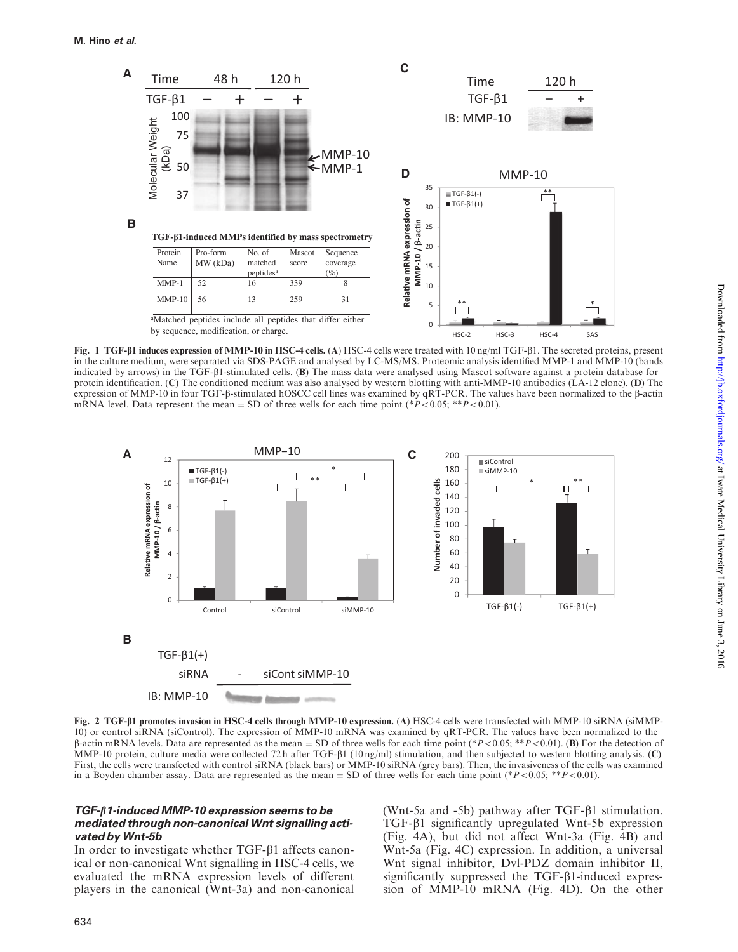<span id="page-3-0"></span>

Fig. 1 TGF-b1 induces expression of MMP-10 in HSC-4 cells. (A) HSC-4 cells were treated with 10 ng/ml TGF-b1. The secreted proteins, present in the culture medium, were separated via SDS-PAGE and analysed by LC-MS/MS. Proteomic analysis identified MMP-1 and MMP-10 (bands indicated by arrows) in the TGF-b1-stimulated cells. (B) The mass data were analysed using Mascot software against a protein database for protein identification. (C) The conditioned medium was also analysed by western blotting with anti-MMP-10 antibodies (LA-12 clone). (D) The expression of MMP-10 in four TGF-b-stimulated hOSCC cell lines was examined by qRT-PCR. The values have been normalized to the b-actin mRNA level. Data represent the mean  $\pm$  SD of three wells for each time point (\*P $\leq$ 0.05; \*\*P $\lt$ 0.01).



Fig. 2 TGF-b1 promotes invasion in HSC-4 cells through MMP-10 expression. (A) HSC-4 cells were transfected with MMP-10 siRNA (siMMP-10) or control siRNA (siControl). The expression of MMP-10 mRNA was examined by qRT-PCR. The values have been normalized to the β-actin mRNA levels. Data are represented as the mean  $\pm$  SD of three wells for each time point (\*P < 0.05; \*\*P < 0.01). (B) For the detection of MMP-10 protein, culture media were collected 72 h after TGF- $\beta$ 1 (10 ng/ml) stimulation, and then subjected to western blotting analysis. (C) First, the cells were transfected with control siRNA (black bars) or MMP-10 siRNA (grey bars). Then, the invasiveness of the cells was examined in a Boyden chamber assay. Data are represented as the mean  $\pm$  SD of three wells for each time point (\*P<0.05; \*\*P<0.01).

### TGF- $\beta$ 1-induced MMP-10 expression seems to be mediated through non-canonical Wnt signalling activated by Wnt-5b

In order to investigate whether TGF- $\beta$ 1 affects canonical or non-canonical Wnt signalling in HSC-4 cells, we evaluated the mRNA expression levels of different players in the canonical (Wnt-3a) and non-canonical

(Wnt-5a and -5b) pathway after  $TGF- $\beta$ 1 stimulation.$ TGF-b1 significantly upregulated Wnt-5b expression [\(Fig. 4](#page-5-0)A), but did not affect Wnt-3a ([Fig. 4B](#page-5-0)) and Wnt-5a [\(Fig. 4C](#page-5-0)) expression. In addition, a universal Wnt signal inhibitor, Dvl-PDZ domain inhibitor II, significantly suppressed the  $TGF- $\beta$ 1-induced expres$ sion of MMP-10 mRNA ([Fig. 4D](#page-5-0)). On the other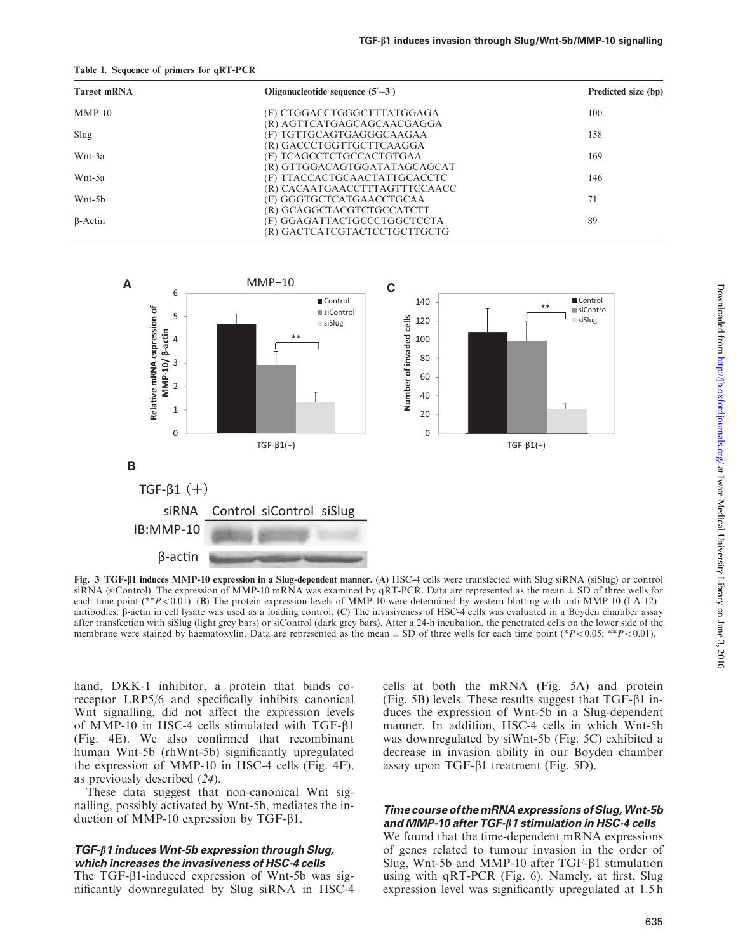| Target mRNA    | Oligonucleotide sequence $(5'-3')$ | Predicted size (bp) |
|----------------|------------------------------------|---------------------|
| $MMP-10$       | (F) CTGGACCTGGGCTTTATGGAGA         | 100                 |
|                | (R) AGTTCATGAGCAGCAACGAGGA         |                     |
| Slug           | (F) TGTTGCAGTGAGGGCAAGAA           | 158                 |
|                | (R) GACCCTGGTTGCTTCAAGGA           |                     |
| Wnt-3a         | (F) TCAGCCTCTGCCACTGTGAA           | 169                 |
|                | (R) GTTGGACAGTGGATATAGCAGCAT       |                     |
| Wnt-5a         | (F) TTACCACTGCAACTATTGCACCTC       | 146                 |
|                | (R) CACAATGAACCTTTAGTTTCCAACC      |                     |
| Wnt-5b         | (F) GGGTGCTCATGAACCTGCAA           | 71                  |
|                | (R) GCAGGCTACGTCTGCCATCTT          |                     |
| $\beta$ -Actin | (F) GGAGATTACTGCCCTGGCTCCTA        | 89                  |
|                | (R) GACTCATCGTACTCCTGCTTGCTG       |                     |



Fig. 3 TGF-b1 induces MMP-10 expression in a Slug-dependent manner. (A) HSC-4 cells were transfected with Slug siRNA (siSlug) or control siRNA (siControl). The expression of MMP-10 mRNA was examined by qRT-PCR. Data are represented as the mean  $\pm$  SD of three wells for each time point (\*\* $P<0.01$ ). (B) The protein expression levels of MMP-10 were determined by western blotting with anti-MMP-10 (LA-12) antibodies. B-actin in cell lysate was used as a loading control. (C) The invasiveness of HSC-4 cells was evaluated in a Boyden chamber assay after transfection with siSlug (light grey bars) or siControl (dark grey bars). After a 24-h incubation, the penetrated cells on the lower side of the membrane were stained by haematoxylin. Data are represented as the mean  $\pm$  SD of three wells for each time point (\*P $\lt 0.05$ ; \*\*P $\lt 0.01$ ).

hand, DKK-1 inhibitor, a protein that binds coreceptor LRP5/6 and specifically inhibits canonical Wnt signalling, did not affect the expression levels of MMP-10 in HSC-4 cells stimulated with  $TGF- $\beta$ 1$ ([Fig. 4](#page-5-0)E). We also confirmed that recombinant human Wnt-5b (rhWnt-5b) significantly upregulated the expression of MMP-10 in HSC-4 cells [\(Fig. 4](#page-5-0)F), as previously described ([24](#page-8-0)).

<span id="page-4-0"></span>Table I. Sequence of primers for qRT-PCR

These data suggest that non-canonical Wnt signalling, possibly activated by Wnt-5b, mediates the induction of MMP-10 expression by TGF- $\beta$ 1.

### TGF-b1 induces Wnt-5b expression through Slug, which increases the invasiveness of HSC-4 cells

The TGF- $\beta$ 1-induced expression of Wnt-5b was significantly downregulated by Slug siRNA in HSC-4 cells at both the mRNA ([Fig. 5](#page-6-0)A) and protein [\(Fig. 5](#page-6-0)B) levels. These results suggest that  $TGF- $\beta$ 1 in$ duces the expression of Wnt-5b in a Slug-dependent manner. In addition, HSC-4 cells in which Wnt-5b was downregulated by siWnt-5b ([Fig. 5](#page-6-0)C) exhibited a decrease in invasion ability in our Boyden chamber assay upon TGF- $\beta$ 1 treatment ([Fig. 5D](#page-6-0)).

### Time course of the mRNA expressions of Slug, Wnt-5b and MMP-10 after TGF- $\beta$ 1 stimulation in HSC-4 cells

We found that the time-dependent mRNA expressions of genes related to tumour invasion in the order of Slug, Wnt-5b and MMP-10 after  $TGF- $\beta$ 1 stimulation$ using with qRT-PCR [\(Fig. 6](#page-7-0)). Namely, at first, Slug expression level was significantly upregulated at 1.5 h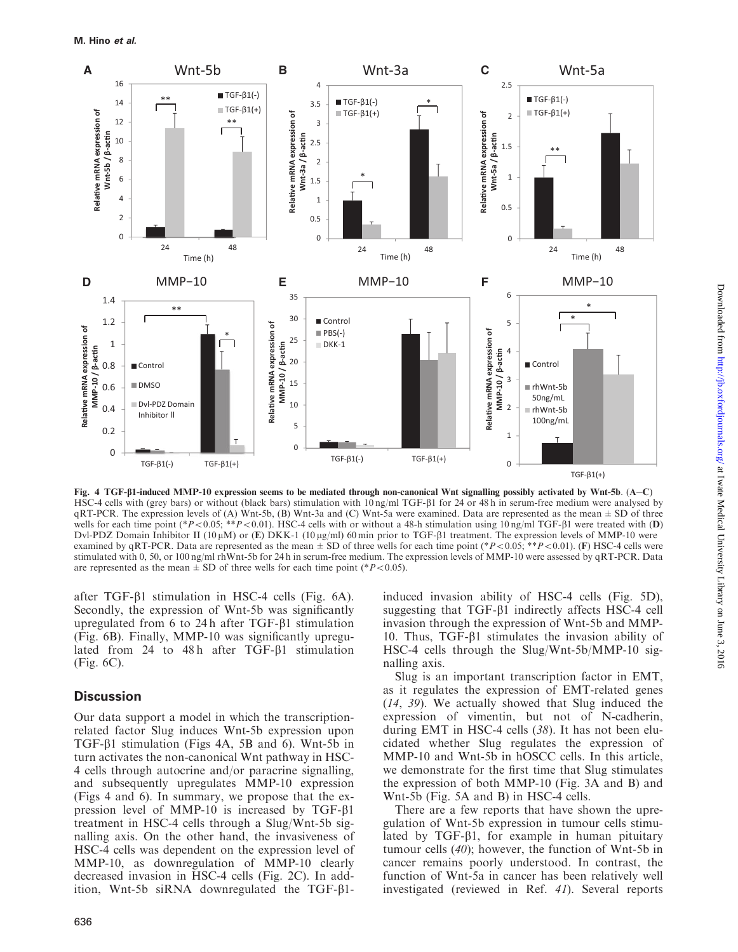<span id="page-5-0"></span>

Fig. 4 TGF-ß1-induced MMP-10 expression seems to be mediated through non-canonical Wnt signalling possibly activated by Wnt-5b. (A-C) HSC-4 cells with (grey bars) or without (black bars) stimulation with  $10 \text{ ng/ml TGF-}\beta1$  for 24 or 48 h in serum-free medium were analysed by  $qRT-PCR$ . The expression levels of (A) Wnt-5b, (B) Wnt-3a and (C) Wnt-5a were examined. Data are represented as the mean  $\pm$  SD of three wells for each time point (\*P < 0.05; \*\*P < 0.01). HSC-4 cells with or without a 48-h stimulation using 10 ng/ml TGF- $\beta$ 1 were treated with (D) Dvl-PDZ Domain Inhibitor II (10  $\mu$ M) or (E) DKK-1 (10  $\mu$ g/ml) 60 min prior to TGF- $\beta$ 1 treatment. The expression levels of MMP-10 were examined by qRT-PCR. Data are represented as the mean  $\pm$  SD of three wells for each time point (\*P < 0.05; \*\*P < 0.01). (F) HSC-4 cells were stimulated with 0, 50, or 100 ng/ml rhWnt-5b for 24 h in serum-free medium. The expression levels of MMP-10 were assessed by qRT-PCR. Data are represented as the mean  $\pm$  SD of three wells for each time point (\*P $<$ 0.05).

after TGF- $\beta$ 1 stimulation in HSC-4 cells [\(Fig. 6](#page-7-0)A). Secondly, the expression of Wnt-5b was significantly upregulated from 6 to 24 h after TGF- $\beta$ 1 stimulation ([Fig. 6B](#page-7-0)). Finally, MMP-10 was significantly upregulated from 24 to 48 h after  $TGF- $\beta$ 1 stimulation$ ([Fig. 6](#page-7-0)C).

## **Discussion**

Our data support a model in which the transcriptionrelated factor Slug induces Wnt-5b expression upon TGF-b1 stimulation (Figs 4A, [5](#page-6-0)B and [6](#page-7-0)). Wnt-5b in turn activates the non-canonical Wnt pathway in HSC-4 cells through autocrine and/or paracrine signalling, and subsequently upregulates MMP-10 expression (Figs 4 and [6\)](#page-7-0). In summary, we propose that the expression level of MMP-10 is increased by TGF- $\beta$ 1 treatment in HSC-4 cells through a Slug/Wnt-5b signalling axis. On the other hand, the invasiveness of HSC-4 cells was dependent on the expression level of MMP-10, as downregulation of MMP-10 clearly decreased invasion in HSC-4 cells ([Fig. 2C](#page-3-0)). In addition, Wnt-5b siRNA downregulated the TGF- $\beta$ 1induced invasion ability of HSC-4 cells [\(Fig. 5](#page-6-0)D), suggesting that TGF- $\beta$ 1 indirectly affects HSC-4 cell invasion through the expression of Wnt-5b and MMP-10. Thus, TGF- $\beta$ 1 stimulates the invasion ability of HSC-4 cells through the Slug/Wnt-5b/MMP-10 signalling axis.

Slug is an important transcription factor in EMT, as it regulates the expression of EMT-related genes ([14](#page-8-0), [39](#page-9-0)). We actually showed that Slug induced the expression of vimentin, but not of N-cadherin, during EMT in HSC-4 cells ([38](#page-9-0)). It has not been elucidated whether Slug regulates the expression of MMP-10 and Wnt-5b in hOSCC cells. In this article, we demonstrate for the first time that Slug stimulates the expression of both MMP-10 [\(Fig. 3](#page-4-0)A and B) and Wnt-5b [\(Fig. 5](#page-6-0)A and B) in HSC-4 cells.

There are a few reports that have shown the upregulation of Wnt-5b expression in tumour cells stimulated by TGF- $\beta$ 1, for example in human pituitary tumour cells ([40](#page-9-0)); however, the function of Wnt-5b in cancer remains poorly understood. In contrast, the function of Wnt-5a in cancer has been relatively well investigated (reviewed in Ref. [41](#page-9-0)). Several reports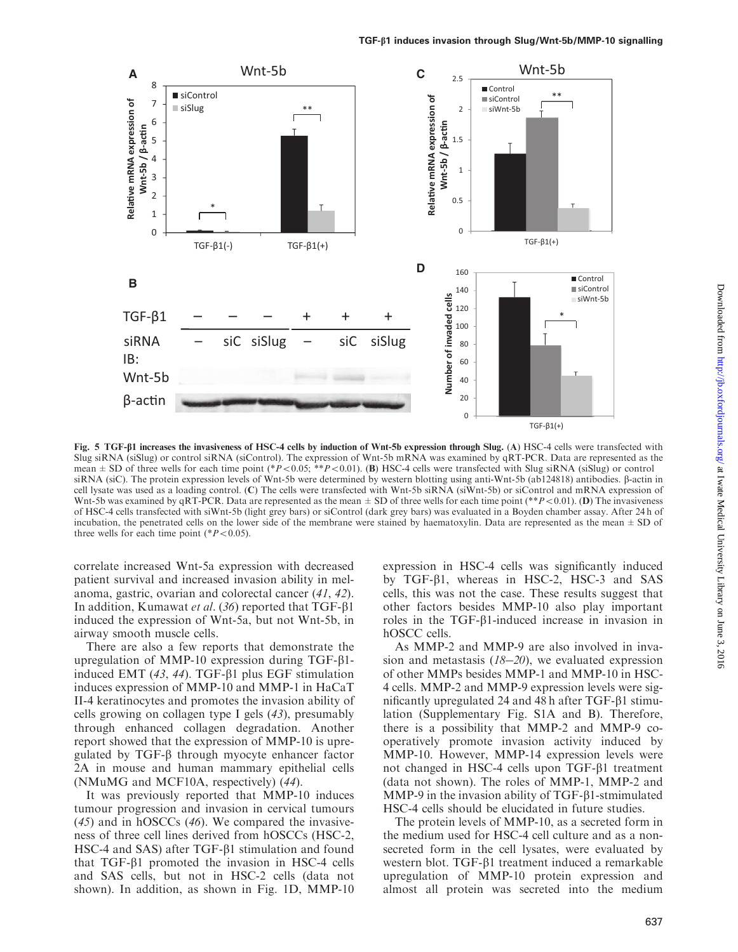<span id="page-6-0"></span>

Fig. 5 TGF-b1 increases the invasiveness of HSC-4 cells by induction of Wnt-5b expression through Slug. (A) HSC-4 cells were transfected with Slug siRNA (siSlug) or control siRNA (siControl). The expression of Wnt-5b mRNA was examined by qRT-PCR. Data are represented as the mean  $\pm$  SD of three wells for each time point (\*P<0.05; \*\*P<0.01). (B) HSC-4 cells were transfected with Slug siRNA (siSlug) or control siRNA (siC). The protein expression levels of Wnt-5b were determined by western blotting using anti-Wnt-5b (ab124818) antibodies. b-actin in cell lysate was used as a loading control. (C) The cells were transfected with Wnt-5b siRNA (siWnt-5b) or siControl and mRNA expression of Wnt-5b was examined by qRT-PCR. Data are represented as the mean  $\pm$  SD of three wells for each time point (\*\*P $\lt$ 0.01). (D) The invasiveness of HSC-4 cells transfected with siWnt-5b (light grey bars) or siControl (dark grey bars) was evaluated in a Boyden chamber assay. After 24 h of incubation, the penetrated cells on the lower side of the membrane were stained by haematoxylin. Data are represented as the mean  $\pm$  SD of three wells for each time point ( $P<0.05$ ).

correlate increased Wnt-5a expression with decreased patient survival and increased invasion ability in melanoma, gastric, ovarian and colorectal cancer ([41](#page-9-0), [42](#page-9-0)). In addition, Kumawat et al. ([36](#page-8-0)) reported that TGF- $\beta$ 1 induced the expression of Wnt-5a, but not Wnt-5b, in airway smooth muscle cells.

There are also a few reports that demonstrate the upregulation of MMP-10 expression during TGF- $\beta$ 1induced EMT  $(43, 44)$  $(43, 44)$  $(43, 44)$  $(43, 44)$  $(43, 44)$ . TGF- $\beta$ 1 plus EGF stimulation induces expression of MMP-10 and MMP-1 in HaCaT II-4 keratinocytes and promotes the invasion ability of cells growing on collagen type I gels ([43](#page-9-0)), presumably through enhanced collagen degradation. Another report showed that the expression of MMP-10 is upregulated by  $TGF-\beta$  through myocyte enhancer factor 2A in mouse and human mammary epithelial cells (NMuMG and MCF10A, respectively) ([44](#page-9-0)).

It was previously reported that MMP-10 induces tumour progression and invasion in cervical tumours  $(45)$  $(45)$  $(45)$  and in hOSCCs  $(46)$  $(46)$  $(46)$ . We compared the invasiveness of three cell lines derived from hOSCCs (HSC-2, HSC-4 and SAS) after  $TGF- $\beta$ 1 stimulation and found$ that TGF-b1 promoted the invasion in HSC-4 cells and SAS cells, but not in HSC-2 cells (data not shown). In addition, as shown in [Fig. 1D](#page-3-0), MMP-10

expression in HSC-4 cells was significantly induced by TGF-b1, whereas in HSC-2, HSC-3 and SAS cells, this was not the case. These results suggest that other factors besides MMP-10 also play important roles in the TGF-b1-induced increase in invasion in hOSCC cells.

As MMP-2 and MMP-9 are also involved in invasion and metastasis  $(18-20)$  $(18-20)$  $(18-20)$  $(18-20)$  $(18-20)$ , we evaluated expression of other MMPs besides MMP-1 and MMP-10 in HSC-4 cells. MMP-2 and MMP-9 expression levels were significantly upregulated 24 and 48 h after TGF- $\beta$ 1 stimulation [\(Supplementary Fig. S1A](http://jb.oxfordjournals.org/lookup/suppl/doi:10.1093/jb/mvw007/-/DC1) and [B\)](http://jb.oxfordjournals.org/lookup/suppl/doi:10.1093/jb/mvw007/-/DC1). Therefore, there is a possibility that MMP-2 and MMP-9 cooperatively promote invasion activity induced by MMP-10. However, MMP-14 expression levels were not changed in HSC-4 cells upon  $TGF- $\beta$ 1 treatment$ (data not shown). The roles of MMP-1, MMP-2 and MMP-9 in the invasion ability of  $TGF- $\beta$ 1-stmimulated$ HSC-4 cells should be elucidated in future studies.

The protein levels of MMP-10, as a secreted form in the medium used for HSC-4 cell culture and as a nonsecreted form in the cell lysates, were evaluated by western blot. TGF- $\beta$ 1 treatment induced a remarkable upregulation of MMP-10 protein expression and almost all protein was secreted into the medium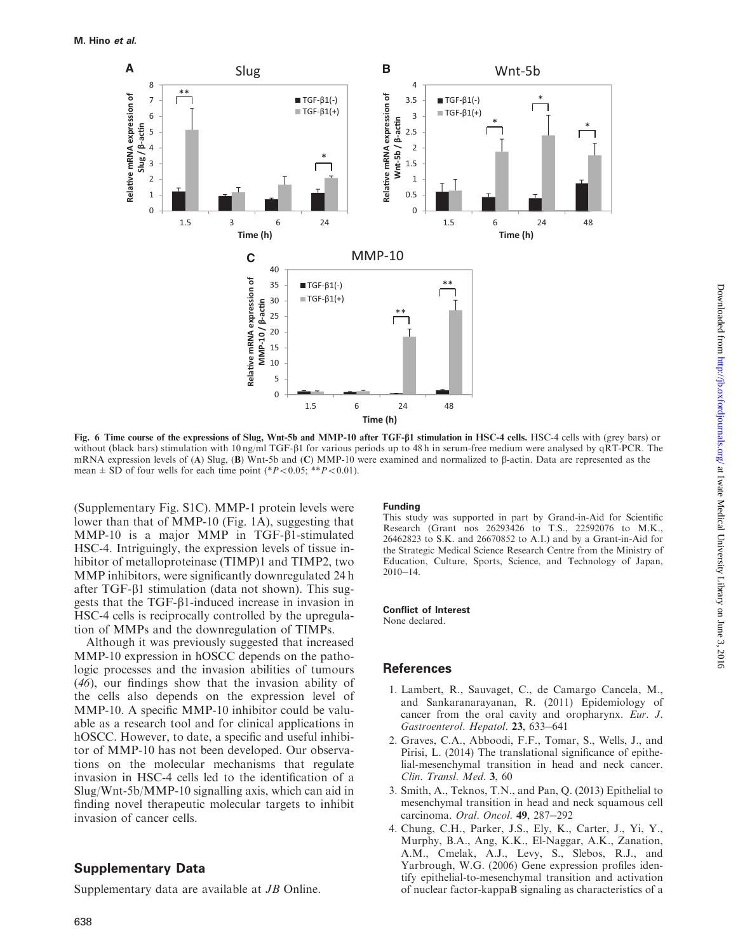<span id="page-7-0"></span>

Fig. 6 Time course of the expressions of Slug, Wnt-5b and MMP-10 after TGF- $\beta$ 1 stimulation in HSC-4 cells. HSC-4 cells with (grey bars) or without (black bars) stimulation with 10 ng/ml TGF-β1 for various periods up to 48 h in serum-free medium were analysed by qRT-PCR. The mRNA expression levels of (A) Slug, (B) Wnt-5b and (C) MMP-10 were examined and normalized to  $\beta$ -actin. Data are represented as the mean  $\pm$  SD of four wells for each time point (\* $P<0.05$ ; \*\* $P<0.01$ ).

([Supplementary Fig. S1C](http://jb.oxfordjournals.org/lookup/suppl/doi:10.1093/jb/mvw007/-/DC1)). MMP-1 protein levels were lower than that of MMP-10 [\(Fig. 1](#page-3-0)A), suggesting that MMP-10 is a major MMP in TGF- $\beta$ 1-stimulated HSC-4. Intriguingly, the expression levels of tissue inhibitor of metalloproteinase (TIMP)1 and TIMP2, two MMP inhibitors, were significantly downregulated 24 h after TGF- $\beta$ 1 stimulation (data not shown). This suggests that the TGF-b1-induced increase in invasion in HSC-4 cells is reciprocally controlled by the upregulation of MMPs and the downregulation of TIMPs.

Although it was previously suggested that increased MMP-10 expression in hOSCC depends on the pathologic processes and the invasion abilities of tumours ([46](#page-9-0)), our findings show that the invasion ability of the cells also depends on the expression level of MMP-10. A specific MMP-10 inhibitor could be valuable as a research tool and for clinical applications in hOSCC. However, to date, a specific and useful inhibitor of MMP-10 has not been developed. Our observations on the molecular mechanisms that regulate invasion in HSC-4 cells led to the identification of a Slug/Wnt-5b/MMP-10 signalling axis, which can aid in finding novel therapeutic molecular targets to inhibit invasion of cancer cells.

## Supplementary Data

[Supplementary data](http://jb.oxfordjournals.org/lookup/suppl/doi:10.1093/jb/mvw007/-/DC1) are available at *JB* Online.

### Funding

This study was supported in part by Grand-in-Aid for Scientific Research (Grant nos 26293426 to T.S., 22592076 to M.K., 26462823 to S.K. and 26670852 to A.I.) and by a Grant-in-Aid for the Strategic Medical Science Research Centre from the Ministry of Education, Culture, Sports, Science, and Technology of Japan, 2010-14.

### Conflict of Interest

None declared.

### **References**

- 1. Lambert, R., Sauvaget, C., de Camargo Cancela, M., and Sankaranarayanan, R. (2011) Epidemiology of cancer from the oral cavity and oropharynx. Eur. J. Gastroenterol. Hepatol. 23, 633-641
- 2. Graves, C.A., Abboodi, F.F., Tomar, S., Wells, J., and Pirisi, L. (2014) The translational significance of epithelial-mesenchymal transition in head and neck cancer. Clin. Transl. Med. 3, 60
- 3. Smith, A., Teknos, T.N., and Pan, Q. (2013) Epithelial to mesenchymal transition in head and neck squamous cell carcinoma. Oral. Oncol. 49, 287-292
- 4. Chung, C.H., Parker, J.S., Ely, K., Carter, J., Yi, Y., Murphy, B.A., Ang, K.K., El-Naggar, A.K., Zanation, A.M., Cmelak, A.J., Levy, S., Slebos, R.J., and Yarbrough, W.G. (2006) Gene expression profiles identify epithelial-to-mesenchymal transition and activation of nuclear factor-kappaB signaling as characteristics of a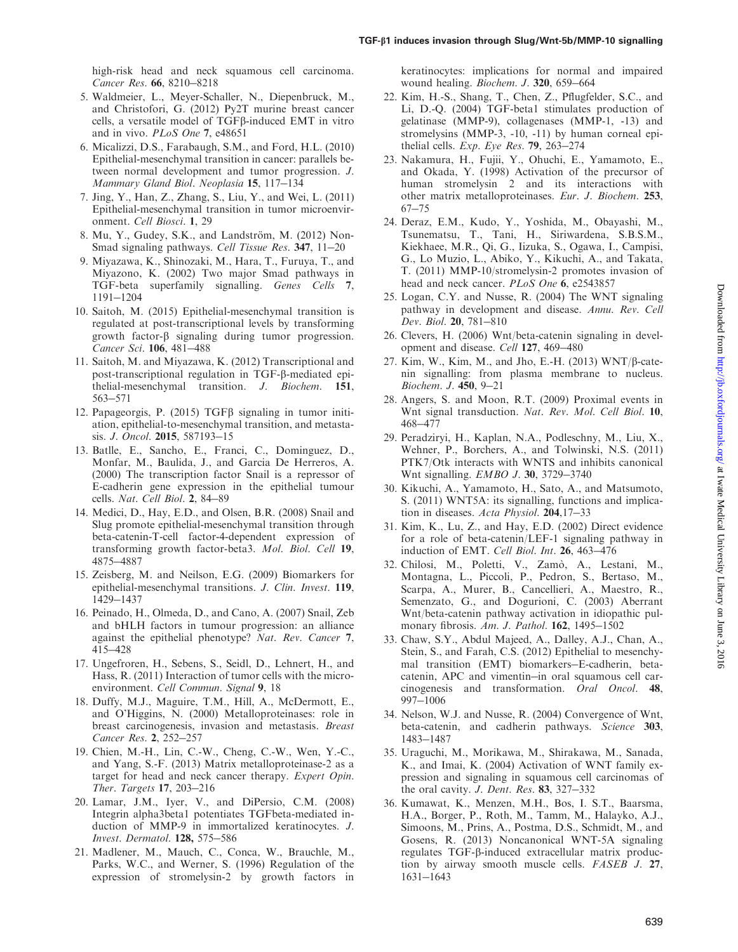<span id="page-8-0"></span>high-risk head and neck squamous cell carcinoma. Cancer Res. 66, 8210-8218

- 5. Waldmeier, L., Meyer-Schaller, N., Diepenbruck, M., and Christofori, G. (2012) Py2T murine breast cancer cells, a versatile model of TGFb-induced EMT in vitro and in vivo. PLoS One 7, e48651
- 6. Micalizzi, D.S., Farabaugh, S.M., and Ford, H.L. (2010) Epithelial-mesenchymal transition in cancer: parallels between normal development and tumor progression. J. Mammary Gland Biol. Neoplasia 15, 117-134
- 7. Jing, Y., Han, Z., Zhang, S., Liu, Y., and Wei, L. (2011) Epithelial-mesenchymal transition in tumor microenvironment. Cell Biosci. 1, 29
- 8. Mu, Y., Gudey, S.K., and Landström, M. (2012) Non-Smad signaling pathways. Cell Tissue Res. 347, 11-20
- 9. Miyazawa, K., Shinozaki, M., Hara, T., Furuya, T., and Miyazono, K. (2002) Two major Smad pathways in TGF-beta superfamily signalling. Genes Cells 7, 1191-1204
- 10. Saitoh, M. (2015) Epithelial-mesenchymal transition is regulated at post-transcriptional levels by transforming growth factor- $\beta$  signaling during tumor progression. Cancer Sci. 106, 481-488
- 11. Saitoh, M. and Miyazawa, K. (2012) Transcriptional and post-transcriptional regulation in TGF-b-mediated epithelial-mesenchymal transition. J. Biochem. 151, 563-571
- 12. Papageorgis, P. (2015) TGF $\beta$  signaling in tumor initiation, epithelial-to-mesenchymal transition, and metastasis. J. Oncol. 2015, 587193-15
- 13. Batlle, E., Sancho, E., Franci, C., Dominguez, D., Monfar, M., Baulida, J., and Garcia De Herreros, A. (2000) The transcription factor Snail is a repressor of E-cadherin gene expression in the epithelial tumour cells. Nat. Cell Biol. 2, 84–89
- 14. Medici, D., Hay, E.D., and Olsen, B.R. (2008) Snail and Slug promote epithelial-mesenchymal transition through beta-catenin-T-cell factor-4-dependent expression of transforming growth factor-beta3. Mol. Biol. Cell 19, 4875-4887
- 15. Zeisberg, M. and Neilson, E.G. (2009) Biomarkers for epithelial-mesenchymal transitions. J. Clin. Invest. 119, 1429-1437
- 16. Peinado, H., Olmeda, D., and Cano, A. (2007) Snail, Zeb and bHLH factors in tumour progression: an alliance against the epithelial phenotype? Nat. Rev. Cancer 7, 415-428
- 17. Ungefroren, H., Sebens, S., Seidl, D., Lehnert, H., and Hass, R. (2011) Interaction of tumor cells with the microenvironment. Cell Commun. Signal 9, 18
- 18. Duffy, M.J., Maguire, T.M., Hill, A., McDermott, E., and O'Higgins, N. (2000) Metalloproteinases: role in breast carcinogenesis, invasion and metastasis. Breast Cancer Res. 2, 252-257
- 19. Chien, M.-H., Lin, C.-W., Cheng, C.-W., Wen, Y.-C., and Yang, S.-F. (2013) Matrix metalloproteinase-2 as a target for head and neck cancer therapy. Expert Opin. Ther. Targets 17, 203-216
- 20. Lamar, J.M., Iyer, V., and DiPersio, C.M. (2008) Integrin alpha3beta1 potentiates TGFbeta-mediated induction of MMP-9 in immortalized keratinocytes. J. Invest. Dermatol. 128, 575-586
- 21. Madlener, M., Mauch, C., Conca, W., Brauchle, M., Parks, W.C., and Werner, S. (1996) Regulation of the expression of stromelysin-2 by growth factors in

keratinocytes: implications for normal and impaired wound healing. Biochem. J. 320, 659-664

- 22. Kim, H.-S., Shang, T., Chen, Z., Pflugfelder, S.C., and Li, D.-Q. (2004) TGF-beta1 stimulates production of gelatinase (MMP-9), collagenases (MMP-1, -13) and stromelysins (MMP-3, -10, -11) by human corneal epithelial cells. Exp. Eye Res. 79, 263-274
- 23. Nakamura, H., Fujii, Y., Ohuchi, E., Yamamoto, E., and Okada, Y. (1998) Activation of the precursor of human stromelysin 2 and its interactions with other matrix metalloproteinases. Eur. J. Biochem. 253, 67-75
- 24. Deraz, E.M., Kudo, Y., Yoshida, M., Obayashi, M., Tsunematsu, T., Tani, H., Siriwardena, S.B.S.M., Kiekhaee, M.R., Qi, G., Iizuka, S., Ogawa, I., Campisi, G., Lo Muzio, L., Abiko, Y., Kikuchi, A., and Takata, T. (2011) MMP-10/stromelysin-2 promotes invasion of head and neck cancer. PLoS One 6, e2543857
- 25. Logan, C.Y. and Nusse, R. (2004) The WNT signaling pathway in development and disease. Annu. Rev. Cell Dev. Biol. 20, 781-810
- 26. Clevers, H. (2006) Wnt/beta-catenin signaling in development and disease. Cell 127, 469-480
- 27. Kim, W., Kim, M., and Jho, E.-H. (2013)  $WNT/\beta$ -catenin signalling: from plasma membrane to nucleus. Biochem. J. 450, 9-21
- 28. Angers, S. and Moon, R.T. (2009) Proximal events in Wnt signal transduction. Nat. Rev. Mol. Cell Biol. 10, 468-477
- 29. Peradziryi, H., Kaplan, N.A., Podleschny, M., Liu, X., Wehner, P., Borchers, A., and Tolwinski, N.S. (2011) PTK7/Otk interacts with WNTS and inhibits canonical Wnt signalling. *EMBO J.* **30**, 3729-3740
- 30. Kikuchi, A., Yamamoto, H., Sato, A., and Matsumoto, S. (2011) WNT5A: its signalling, functions and implication in diseases. Acta Physiol. 204,17-33
- 31. Kim, K., Lu, Z., and Hay, E.D. (2002) Direct evidence for a role of beta-catenin/LEF-1 signaling pathway in induction of EMT. Cell Biol. Int. 26, 463-476
- 32. Chilosi, M., Poletti, V., Zamò, A., Lestani, M., Montagna, L., Piccoli, P., Pedron, S., Bertaso, M., Scarpa, A., Murer, B., Cancellieri, A., Maestro, R., Semenzato, G., and Dogurioni, C. (2003) Aberrant Wnt/beta-catenin pathway activation in idiopathic pulmonary fibrosis. Am. J. Pathol. 162, 1495-1502
- 33. Chaw, S.Y., Abdul Majeed, A., Dalley, A.J., Chan, A., Stein, S., and Farah, C.S. (2012) Epithelial to mesenchymal transition (EMT) biomarkers-E-cadherin, betacatenin, APC and vimentin-in oral squamous cell carcinogenesis and transformation. Oral Oncol. 48, 997-1006
- 34. Nelson, W.J. and Nusse, R. (2004) Convergence of Wnt, beta-catenin, and cadherin pathways. Science 303, 1483-1487
- 35. Uraguchi, M., Morikawa, M., Shirakawa, M., Sanada, K., and Imai, K. (2004) Activation of WNT family expression and signaling in squamous cell carcinomas of the oral cavity. *J. Dent. Res.* **83**, 327–332
- 36. Kumawat, K., Menzen, M.H., Bos, I. S.T., Baarsma, H.A., Borger, P., Roth, M., Tamm, M., Halayko, A.J., Simoons, M., Prins, A., Postma, D.S., Schmidt, M., and Gosens, R. (2013) Noncanonical WNT-5A signaling regulates TGF-b-induced extracellular matrix production by airway smooth muscle cells. FASEB J. 27, 1631-1643